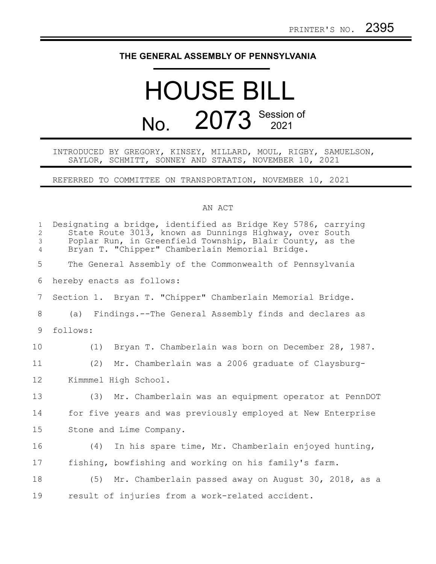## **THE GENERAL ASSEMBLY OF PENNSYLVANIA**

## HOUSE BILL No. 2073 Session of

## INTRODUCED BY GREGORY, KINSEY, MILLARD, MOUL, RIGBY, SAMUELSON, SAYLOR, SCHMITT, SONNEY AND STAATS, NOVEMBER 10, 2021

REFERRED TO COMMITTEE ON TRANSPORTATION, NOVEMBER 10, 2021

## AN ACT

| $\mathbf 1$<br>$\overline{2}$<br>$\mathfrak{Z}$<br>$\overline{4}$ | Designating a bridge, identified as Bridge Key 5786, carrying<br>State Route 3013, known as Dunnings Highway, over South<br>Poplar Run, in Greenfield Township, Blair County, as the<br>Bryan T. "Chipper" Chamberlain Memorial Bridge. |
|-------------------------------------------------------------------|-----------------------------------------------------------------------------------------------------------------------------------------------------------------------------------------------------------------------------------------|
| 5                                                                 | The General Assembly of the Commonwealth of Pennsylvania                                                                                                                                                                                |
| 6                                                                 | hereby enacts as follows:                                                                                                                                                                                                               |
| 7                                                                 | Section 1. Bryan T. "Chipper" Chamberlain Memorial Bridge.                                                                                                                                                                              |
| 8                                                                 | (a) Findings.--The General Assembly finds and declares as                                                                                                                                                                               |
| 9                                                                 | follows:                                                                                                                                                                                                                                |
| 10                                                                | Bryan T. Chamberlain was born on December 28, 1987.<br>(1)                                                                                                                                                                              |
| 11                                                                | (2)<br>Mr. Chamberlain was a 2006 graduate of Claysburg-                                                                                                                                                                                |
| 12                                                                | Kimmmel High School.                                                                                                                                                                                                                    |
| 13                                                                | (3) Mr. Chamberlain was an equipment operator at PennDOT                                                                                                                                                                                |
| 14                                                                | for five years and was previously employed at New Enterprise                                                                                                                                                                            |
| 15                                                                | Stone and Lime Company.                                                                                                                                                                                                                 |
| 16                                                                | In his spare time, Mr. Chamberlain enjoyed hunting,<br>(4)                                                                                                                                                                              |
| 17                                                                | fishing, bowfishing and working on his family's farm.                                                                                                                                                                                   |
| 18                                                                | (5) Mr. Chamberlain passed away on August 30, 2018, as a                                                                                                                                                                                |
| 19                                                                | result of injuries from a work-related accident.                                                                                                                                                                                        |